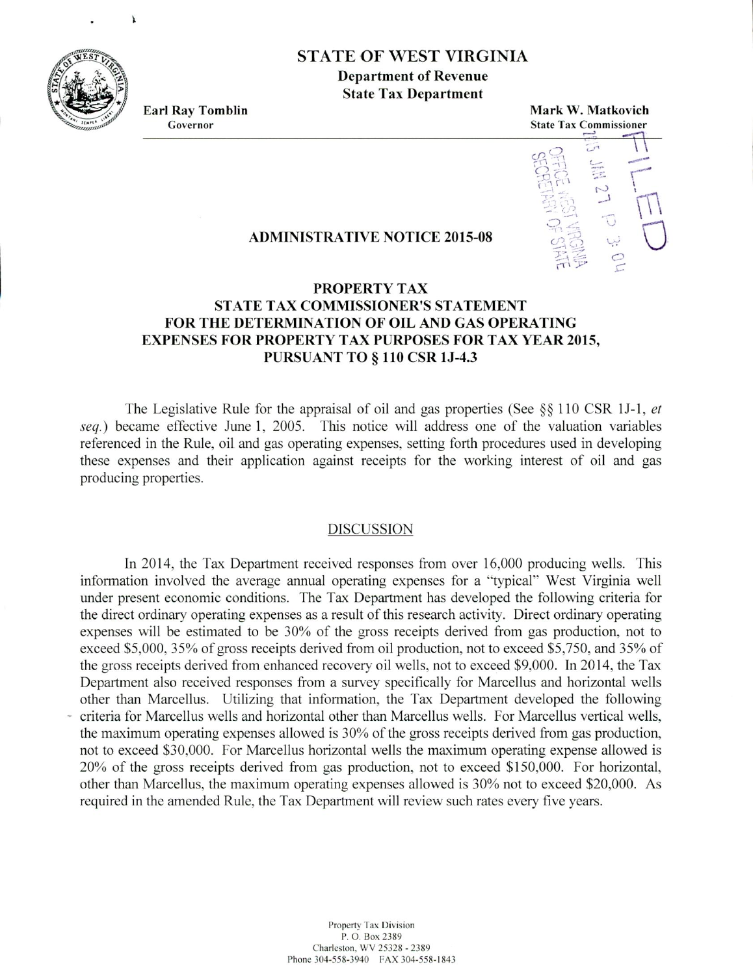**STATE OF WEST VIRGINIA**

**Department of Revenue State Tax Department**

**Earl Ray Tomblin Mark W. Matkovich Governor State Tax Commissioner**



## **ADMINISTRATIVE NOTICE 2015-08**

## **PROPERTY TAX STATE TAX COMMISSIONER'S STATEMENT FOR THE DETERMINATION OF OIL AND GAS OPERATING EXPENSES FOR PROPERTY TAX PURPOSES FOR TAX YEAR 2015, PURSUANT TO** § **110 CSR 13-4.3**

The Legislative Rule for the appraisal of oil and gas properties (See §§ 110 CSR 1J-1, *et seq.)* became effective June 1, *2005.* This notice will address one of the valuation variables referenced in the Rule, oil and gas operating expenses, setting forth procedures used in developing these expenses and their application against receipts for the working interest of oil and gas producing properties.

## DISCUSSION

In 2014, the Tax Department received responses from over 16.000 producing wells. This information involved the average annual operating expenses for a "typical' West Virginia well under present economic conditions. The Tax Department has developed the following criteria for the direct ordinary operating expenses as a result of this research activity. Direct ordinary operating expenses will be estimated to be 30% of the gross receipts derived from gas production. not to exceed \$5,000, 35% of gross receipts derived from oil production, not to exceed \$5,750, and 35% of the gross receipts derived from enhanced recovery oil wells, not to exceed \$9,000. In 2014. the Tax Department also received responses from a survey specifically for Marcellus and horizontal wells other than Marcellus. Utilizing that information, the Tax Department developed the following criteria for Marcellus wells and horizontal other than Marcellus wells. For Marcellus vertical wells, the maximum operating expenses allowed is 30% of the gross receipts derived from gas production, not to exceed \$30,000. For Marcellus horizontal wells the maximum operating expense allowed is 20% of the gross receipts derived from gas production. not to exceed \$1 *5* 0.000. For horizontal. other than Marcellus, the maximum operating expenses allowed is 30% not to exceed \$20,000. As required in the amended Rule. the Tax Department will review such rates every five years.